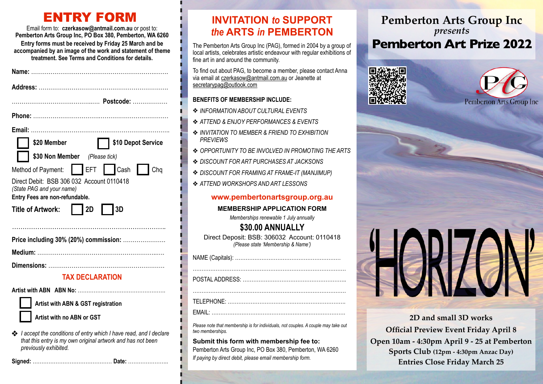# ENTRY FORM

Email form to: **[czerkasow@antmail.com.au](mailto:czerkasow@antmail.com.au)** or post to: **Pemberton Arts Group Inc, PO Box 380, Pemberton, WA 6260 Entry forms must be received by Friday 25 March and be accompanied by an image of the work and statement of theme treatment. See Terms and Conditions for details.**

| Name: ……                                     |
|----------------------------------------------|
|                                              |
|                                              |
|                                              |
|                                              |
| \$10 Depot Service<br>\$20 Member            |
| \$30 Non Member (Please tick)                |
| Method of Payment: Fig. FET Fig. Cash<br>Chq |
| Direct Debit: BSB 306 032 Account 0110418    |
| (State PAG and your name)                    |
| Entry Fees are non-refundable.               |
| $\vert$ 2D<br>3D<br>Title of Artwork:        |
|                                              |
| Price including 30% (20%) commission:        |
|                                              |
|                                              |
| <b>TAX DECLARATION</b>                       |
|                                              |
| Artist with ABN & GST registration           |

*I accept the conditions of entry which I have read, and I declare that this entry is my own original artwork and has not been previously exhibited.*

**Signed:** ……………………………………… **Date:** …………………..

## **INVITATION** *to* **SUPPORT**  *the* **ARTS** *in* **PEMBERTON**

The Pemberton Arts Group Inc (PAG), formed in 2004 by a group of local artists, celebrates artistic endeavour with regular exhibitions of fine art in and around the community.

To find out about PAG, to become a member, please contact Anna via email at [czerkasow@antmail.com.au](mailto:czerkawow@antmail.com.au) or Jeanette at [secretarypag@outlook.com](mailto:secretary@pembertonartsgroup.org.au)

### **BENEFITS OF MEMBERSHIP INCLUDE:**

- ❖ *INFORMATION ABOUT CULTURAL EVENTS*
- ❖ *ATTEND & ENJOY PERFORMANCES & EVENTS*
- ❖ *INVITATION TO MEMBER & FRIEND TO EXHIBITION PREVIEWS*
- ❖ *OPPORTUNITY TO BE INVOLVED IN PROMOTING THE ARTS*
- ❖ *DISCOUNT FOR ART PURCHASES AT JACKSONS*
- ❖ *DISCOUNT FOR FRAMING AT FRAME-IT (MANJIMUP)*
- ❖ *ATTEND WORKSHOPS AND ART LESSONS*

### **www.pembertonartsgroup.org.au**

#### **MEMBERSHIP APPLICATION FORM**

*Memberships renewable 1 July annually*

**\$30.00 ANNUALLY** Direct Deposit: BSB: 306032 Account: 0110418 *(Please state 'Membership & Name')*

*Please note that membership is for individuals, not couples. A couple may take out two memberships.*

**Submit this form with membership fee to:** Pemberton Arts Group Inc, PO Box 380, Pemberton, WA 6260 *If paying by direct debit, please email membership form.*

## **Pemberton Arts Group Inc** *presents* **Pemberton Art Prize 2022**







**2D and small 3D works Official Preview Event Friday April 8 Open 10am - 4:30pm April 9 - 25 at Pemberton Sports Club (12pm - 4:30pm Anzac Day) Entries Close Friday March 25**